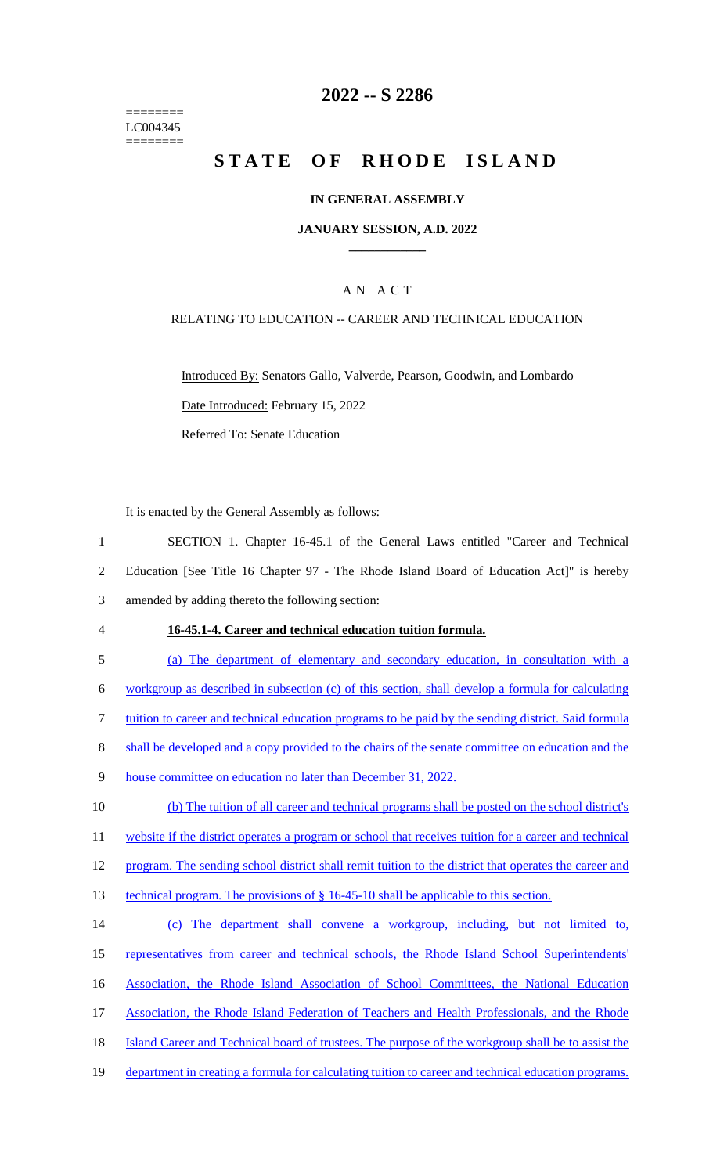======== LC004345 ========

# **2022 -- S 2286**

# **STATE OF RHODE ISLAND**

### **IN GENERAL ASSEMBLY**

### **JANUARY SESSION, A.D. 2022 \_\_\_\_\_\_\_\_\_\_\_\_**

### A N A C T

### RELATING TO EDUCATION -- CAREER AND TECHNICAL EDUCATION

Introduced By: Senators Gallo, Valverde, Pearson, Goodwin, and Lombardo Date Introduced: February 15, 2022 Referred To: Senate Education

It is enacted by the General Assembly as follows:

1 SECTION 1. Chapter 16-45.1 of the General Laws entitled "Career and Technical 2 Education [See Title 16 Chapter 97 - The Rhode Island Board of Education Act]" is hereby 3 amended by adding thereto the following section:

#### 4 **16-45.1-4. Career and technical education tuition formula.**

5 (a) The department of elementary and secondary education, in consultation with a

6 workgroup as described in subsection (c) of this section, shall develop a formula for calculating

7 tuition to career and technical education programs to be paid by the sending district. Said formula

8 shall be developed and a copy provided to the chairs of the senate committee on education and the

9 house committee on education no later than December 31, 2022.

10 (b) The tuition of all career and technical programs shall be posted on the school district's 11 website if the district operates a program or school that receives tuition for a career and technical

12 program. The sending school district shall remit tuition to the district that operates the career and

- 13 technical program. The provisions of § 16-45-10 shall be applicable to this section.
- 14 (c) The department shall convene a workgroup, including, but not limited to, 15 representatives from career and technical schools, the Rhode Island School Superintendents' 16 Association, the Rhode Island Association of School Committees, the National Education 17 Association, the Rhode Island Federation of Teachers and Health Professionals, and the Rhode 18 Island Career and Technical board of trustees. The purpose of the workgroup shall be to assist the
- 19 department in creating a formula for calculating tuition to career and technical education programs.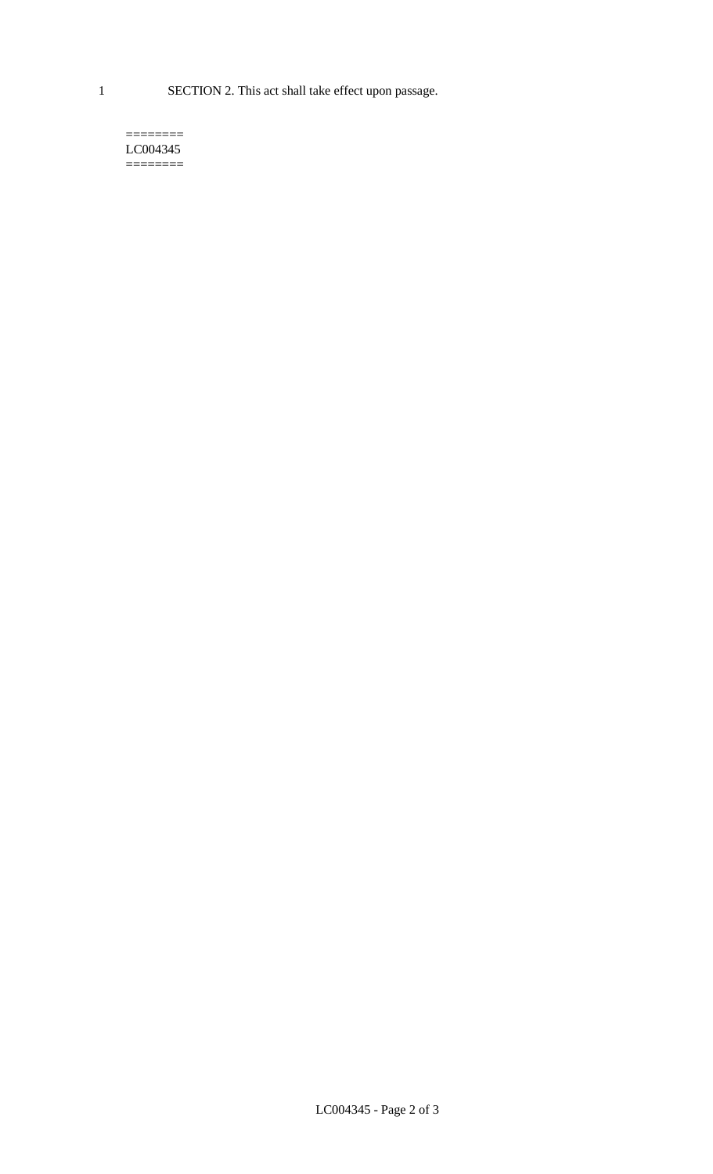1 SECTION 2. This act shall take effect upon passage.

#### $=$ LC004345  $=$

LC004345 - Page 2 of 3